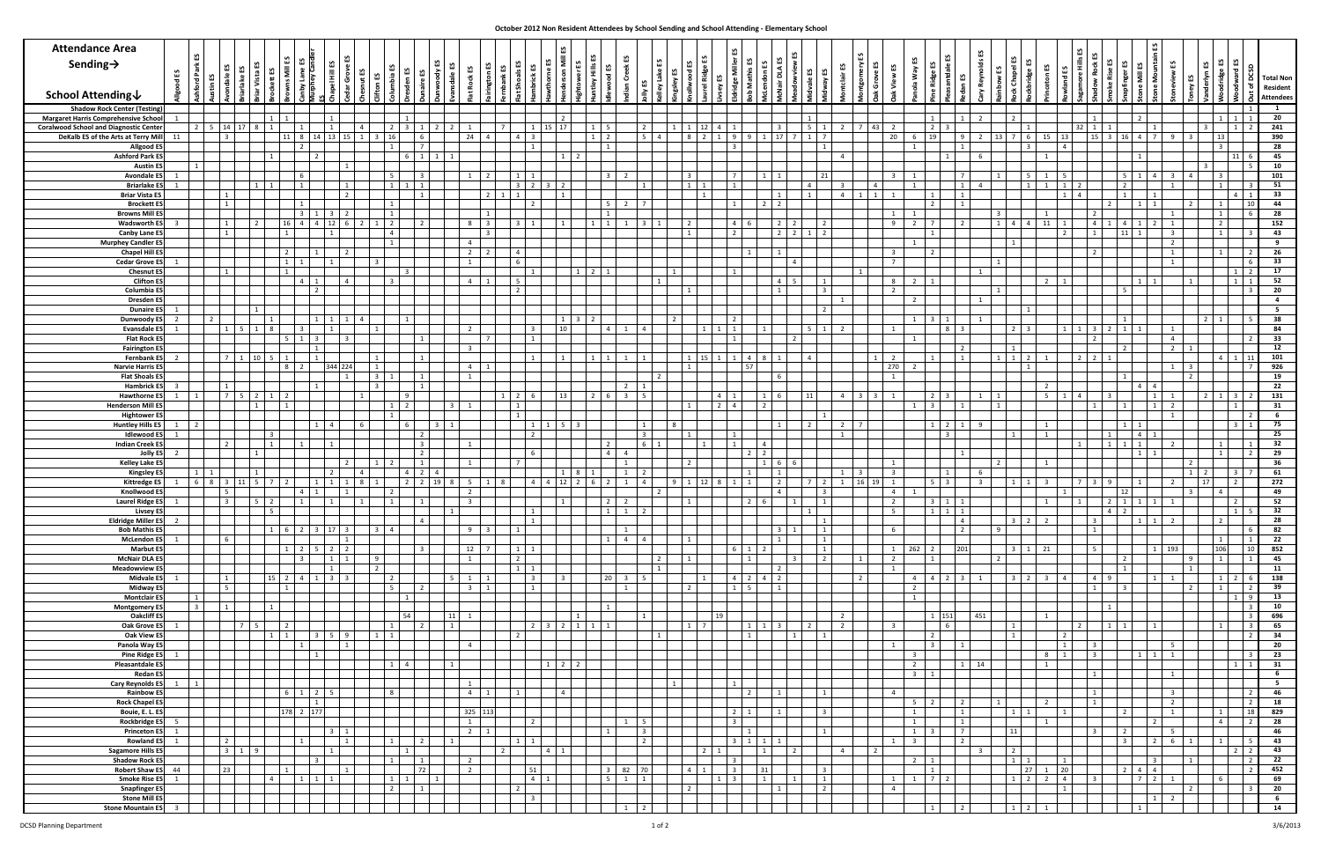| <b>Attendance Area</b><br>Sending $\rightarrow$                                             | £S<br>$\mathbf{r}$ | Park           |                                                                                        |                |                         |                                  |                                                       | ≞                       | చ<br>£S<br>ã<br>兰                                     |                |                |                                 |                 |                                       | O              |                     | ₩              |                                           |                              |                                  |    |                                                    |                                | ٢S                                                       |                                   |                                      |                                   | យ                                            |                    | w                                                |                         |                              |                               | £S                               |   | ٢S<br>≛        | ង ន<br>ន       | <b>Total Non</b>             |
|---------------------------------------------------------------------------------------------|--------------------|----------------|----------------------------------------------------------------------------------------|----------------|-------------------------|----------------------------------|-------------------------------------------------------|-------------------------|-------------------------------------------------------|----------------|----------------|---------------------------------|-----------------|---------------------------------------|----------------|---------------------|----------------|-------------------------------------------|------------------------------|----------------------------------|----|----------------------------------------------------|--------------------------------|----------------------------------------------------------|-----------------------------------|--------------------------------------|-----------------------------------|----------------------------------------------|--------------------|--------------------------------------------------|-------------------------|------------------------------|-------------------------------|----------------------------------|---|----------------|----------------|------------------------------|
| <b>School Attending↓</b>                                                                    |                    |                |                                                                                        |                |                         |                                  |                                                       |                         |                                                       |                |                |                                 |                 |                                       |                |                     |                |                                           |                              |                                  |    |                                                    |                                |                                                          |                                   |                                      |                                   |                                              |                    |                                                  |                         |                              |                               |                                  |   |                |                | Resident<br><b>Attendees</b> |
| <b>Shadow Rock Center (Testing)</b>                                                         |                    |                |                                                                                        |                |                         |                                  |                                                       |                         |                                                       |                |                |                                 |                 |                                       |                |                     |                |                                           |                              |                                  |    |                                                    |                                |                                                          |                                   |                                      |                                   |                                              |                    |                                                  |                         |                              |                               |                                  |   |                |                | 1                            |
| <b>Margaret Harris Comprehensive School</b><br><b>Coralwood School and Diagnostic Cente</b> |                    |                | 1<br>2 5 14 17<br>1                                                                    |                |                         | 2                                | 1<br>$3 \mid 1 \mid 2$                                | $\overline{2}$          | - 1                                                   |                |                | $\overline{2}$<br>15 17         |                 | $1 \quad 5$                           |                | $\overline{2}$      |                |                                           | $12 \mid 4 \mid 1$           |                                  |    | $\overline{1}$                                     |                                | 5 1 2 7 43<br>$\overline{2}$                             |                                   | $\vert 1 \vert$<br>$2 \mid 3$        | $\overline{1}$                    | $\overline{2}$<br>$\overline{2}$             |                    |                                                  | 32                      |                              | $\overline{2}$                |                                  |   |                |                | 20<br>241                    |
| DeKalb ES of the Arts at Terry Mill                                                         | 11                 |                | $11 \quad 8$<br>$14$ 13 15 1<br>$\overline{\phantom{a}3}$                              |                | $\overline{\mathbf{3}}$ | 16                               | 6 <sup>1</sup>                                        |                         | 24<br>$\overline{4}$                                  |                |                |                                 |                 | $1\quad 2$                            |                | $5 \quad 4$         |                |                                           | $812119$                     |                                  |    | $17 \mid 7 \mid 1 \mid 7$                          |                                | 20                                                       | $6 \quad 19$                      |                                      | 9                                 | 2 13 7 6                                     |                    | 15<br>13                                         |                         | $15 \quad 3$                 | 16 4 7                        | $\mathsf{q}$                     |   |                |                | 390                          |
| Allgood E<br><b>Ashford Park E</b>                                                          |                    |                | $\overline{\phantom{a}}$                                                               |                |                         |                                  | - 7 I<br>6 1 1 1                                      |                         |                                                       |                |                |                                 | $1 \quad 2$     | $\begin{array}{cc} 1 & 1 \end{array}$ |                |                     |                |                                           |                              | $\mathbf{R}$                     |    |                                                    | 1                              | $\overline{4}$                                           | 1                                 | $\vert 1 \vert$                      | 1                                 | 6                                            | ્ર                 | $\overline{4}$<br>1                              |                         |                              | $\overline{1}$                |                                  |   |                | 11             | 28<br>45                     |
| <b>Austin E</b>                                                                             |                    |                |                                                                                        |                |                         |                                  |                                                       |                         |                                                       |                |                |                                 |                 |                                       |                |                     |                |                                           |                              |                                  |    |                                                    |                                |                                                          |                                   |                                      |                                   |                                              |                    |                                                  |                         |                              |                               |                                  |   |                |                | 10                           |
| <b>Avondale E</b><br><b>Briarlake E!</b>                                                    |                    |                | -6                                                                                     |                |                         | -5<br>$\mathbf{1}$               | $\overline{3}$<br>$1 \mid 1$                          |                         | $\overline{2}$<br>- 1                                 |                |                | l 2                             |                 | $\overline{\mathbf{3}}$               | 2              |                     |                | $\overline{\mathbf{3}}$<br>$\overline{1}$ |                              | $\overline{7}$<br>$\overline{1}$ |    | $\overline{4}$                                     | 21                             | $\overline{3}$<br>$\overline{4}$<br>$\overline{3}$       | 1<br>1                            |                                      | $7^{\circ}$<br>$\overline{1}$     | $\vert 1 \vert$<br>$\overline{4}$            | -5                 | 5<br>1<br>$\overline{1}$<br>$\overline{1}$       |                         | $\overline{2}$               | 5 1 1                         | $\overline{3}$<br>$\mathbf{1}$   |   |                |                | 101<br>51                    |
| <b>Briar Vista ES</b>                                                                       |                    |                | $\vert$ 1                                                                              | $\overline{2}$ |                         |                                  | $\vert 1 \vert$                                       |                         | $2 \quad 1$                                           |                |                | $\overline{1}$                  |                 |                                       |                |                     |                |                                           |                              |                                  |    | 1                                                  |                                | $\overline{4}$<br>1<br>$\vert 1 \vert$<br>$\overline{1}$ |                                   | 1                                    | 1                                 |                                              |                    | $1 \mid$                                         | $\overline{a}$          | $1 \vert$                    |                               |                                  |   |                | $\overline{4}$ | 33                           |
| <b>Brockett ES</b><br><b>Browns Mill E!</b>                                                 |                    |                | $\vert 1 \vert$                                                                        |                |                         |                                  |                                                       |                         | 1                                                     |                |                |                                 |                 | $\vert$ 5<br>$\overline{1}$           | 2 I            | $\overline{7}$      |                |                                           |                              | 1                                |    |                                                    |                                | $\mathbf{1}$                                             |                                   | $\vert 2 \vert$                      | $\overline{1}$                    | $\overline{\mathbf{3}}$                      |                    | 1                                                |                         | $\overline{2}$               | 1                             |                                  |   |                | 10             | 44<br>28                     |
| <b>Wadsworth ES</b>                                                                         |                    |                | $\vert$ 1<br>12                                                                        |                | $\overline{2}$          | $\overline{2}$                   |                                                       |                         | $\overline{\mathbf{3}}$                               |                |                |                                 |                 | $\overline{1}$                        |                |                     |                |                                           |                              | $\overline{4}$                   |    |                                                    | $\overline{2}$                 | 9                                                        | $\overline{2}$                    |                                      | $\overline{2}$                    | $1 \mid 4$                                   | $\overline{4}$     | 11<br>$\overline{1}$                             | $\overline{4}$          | $\overline{4}$               |                               |                                  |   |                |                | 152                          |
| Canby Lane E<br><b>Murphey Candler ES</b>                                                   |                    |                | $\overline{1}$                                                                         |                |                         |                                  |                                                       |                         | $\overline{\mathbf{3}}$                               |                |                |                                 |                 |                                       |                |                     |                |                                           |                              | $\overline{2}$                   |    | $2 \mid 1 \mid 2$                                  |                                |                                                          | $\overline{1}$                    |                                      |                                   | 1                                            |                    | $\overline{2}$                                   |                         | 11                           |                               |                                  |   |                |                | 43<br>9                      |
| <b>Chapel Hill ES</b>                                                                       |                    |                |                                                                                        |                |                         |                                  |                                                       |                         | $\overline{2}$<br>$\overline{2}$                      |                |                |                                 |                 |                                       |                |                     |                |                                           |                              |                                  |    |                                                    |                                | $\mathbf{R}$                                             |                                   |                                      |                                   |                                              |                    |                                                  |                         |                              |                               |                                  |   |                |                | 26                           |
| <b>Cedar Grove ES</b><br><b>Chesnut ES</b>                                                  |                    |                | 1                                                                                      |                |                         |                                  |                                                       |                         |                                                       |                |                |                                 |                 |                                       |                |                     |                |                                           |                              |                                  |    |                                                    |                                | $\overline{7}$<br>1                                      |                                   |                                      |                                   | 1                                            |                    |                                                  |                         |                              |                               |                                  |   |                |                | 33<br>17                     |
| <b>Clifton E</b>                                                                            |                    |                | 4                                                                                      |                |                         |                                  |                                                       |                         | $\overline{4}$<br>$\overline{1}$                      |                |                |                                 |                 |                                       |                |                     |                |                                           |                              |                                  |    |                                                    |                                | 8                                                        | 2 1                               |                                      |                                   |                                              |                    | $\overline{2}$<br>1                              |                         |                              | 1                             |                                  |   |                |                | 52                           |
| Columbia E<br><b>Dresden E</b>                                                              |                    |                |                                                                                        |                |                         |                                  |                                                       |                         |                                                       |                |                |                                 |                 |                                       |                |                     |                |                                           |                              |                                  |    |                                                    |                                | $\overline{2}$                                           | $\overline{2}$                    |                                      |                                   | $\overline{1}$                               |                    |                                                  |                         |                              |                               |                                  |   |                |                | 20<br>$\overline{4}$         |
| <b>Dunaire E</b>                                                                            |                    |                |                                                                                        |                |                         |                                  |                                                       |                         |                                                       |                |                |                                 |                 |                                       |                |                     |                |                                           |                              |                                  |    |                                                    |                                |                                                          |                                   |                                      |                                   |                                              |                    |                                                  |                         |                              |                               |                                  |   |                |                | 5                            |
| Dunwoody E<br><b>Evansdale ES</b>                                                           |                    |                | 2 <sup>1</sup>                                                                         |                | $\overline{a}$          |                                  |                                                       |                         |                                                       |                |                | 10                              | $1 \mid 3$      |                                       |                |                     | $\overline{2}$ |                                           |                              |                                  |    | 5 <sup>5</sup>                                     | $\vert 1 \vert$                | $\overline{2}$<br>$\mathbf{1}$                           | $1 \quad 3$                       | 8                                    |                                   | $\overline{2}$                               |                    |                                                  |                         | $\overline{2}$               |                               | 1                                |   |                |                | 38<br>84                     |
| Flat Rock E!                                                                                |                    |                |                                                                                        |                |                         |                                  |                                                       |                         | $\overline{7}$                                        |                |                |                                 |                 |                                       |                |                     |                |                                           |                              |                                  |    | $\overline{2}$                                     |                                |                                                          | $\overline{1}$                    |                                      |                                   |                                              |                    |                                                  |                         |                              |                               | $\overline{4}$                   |   |                |                | 33                           |
| <b>Fairington ES</b><br><b>Fernbank ES</b>                                                  |                    |                | 1711                                                                                   |                |                         |                                  | $\vert 1 \vert$                                       |                         |                                                       |                |                | $\overline{1}$                  |                 | $1\quad1$                             |                | $1 \quad 1$         |                |                                           | $1 \quad 15 \quad 1 \quad 1$ |                                  |    | $\overline{4}$                                     |                                | $\mathbf{1}$<br>$\overline{2}$                           |                                   | $\overline{1}$                       | $\overline{2}$<br>$\overline{1}$  | $\overline{1}$<br>$\vert 1 \vert$<br>$1 \t2$ |                    | $\overline{1}$                                   | $2 \mid 2 \mid$         | $\overline{2}$               |                               | $\overline{2}$                   |   |                |                | 12<br>101                    |
| <b>Narvie Harris E</b>                                                                      |                    |                |                                                                                        | 344 224        |                         |                                  |                                                       |                         | $\overline{4}$                                        |                |                |                                 |                 |                                       |                |                     |                |                                           |                              |                                  |    |                                                    |                                | 270                                                      | - 2                               |                                      |                                   |                                              | $\mathbf{1}$       |                                                  |                         |                              |                               | 1                                |   |                |                | 926                          |
| <b>Flat Shoals I</b><br><b>Hambrick E</b>                                                   |                    |                |                                                                                        |                | $\overline{3}$          |                                  | $\mathbf{1}$<br>$\begin{array}{cc} 1 & 1 \end{array}$ |                         |                                                       |                |                |                                 |                 |                                       | 2              |                     |                |                                           |                              |                                  |    |                                                    |                                | $\mathbf{1}$                                             |                                   |                                      |                                   |                                              |                    | $\overline{2}$                                   |                         |                              | $\overline{4}$                |                                  |   |                |                | 19<br>22                     |
| <b>Hawthorne I</b>                                                                          |                    |                | $\overline{7}$                                                                         |                |                         |                                  | 9 I                                                   |                         |                                                       |                |                | 13                              |                 | $2 \t 6$                              | $\mathbf{R}$   | -5                  |                |                                           |                              | $4 \quad 1$                      |    | 11                                                 |                                | $\overline{4}$<br>$3 \mid 3$<br>1                        |                                   | $2 \mid 3$                           |                                   | $\vert$ 1<br>$\mathbf{1}$                    |                    | 5 <sup>5</sup><br>1                              | $\overline{a}$          |                              |                               |                                  |   |                |                | 131                          |
| <b>Henderson Mill E</b><br><b>Hightower I</b>                                               |                    |                |                                                                                        |                |                         |                                  | $2^{\circ}$                                           |                         |                                                       |                |                |                                 |                 |                                       |                |                     |                |                                           |                              | $2 \mid 4$                       |    |                                                    |                                |                                                          |                                   | $\overline{3}$                       | $\overline{1}$                    | $\vert$ 1                                    |                    |                                                  |                         |                              |                               |                                  |   |                |                | 31<br>- 6                    |
| <b>Huntley Hills ES</b>                                                                     |                    |                |                                                                                        |                |                         |                                  | 6                                                     | $\overline{\mathbf{3}}$ |                                                       |                |                |                                 |                 |                                       |                | 1                   | $\mathcal{R}$  |                                           |                              |                                  |    | $\overline{2}$                                     |                                | $\overline{7}$<br>$\overline{2}$                         |                                   | $1 \mid 2$                           | $\vert 1 \vert$                   | <sup>9</sup>                                 |                    |                                                  |                         |                              |                               |                                  |   |                |                | 75                           |
| <b>Idlewood E</b><br><b>Indian Creek E</b>                                                  |                    |                |                                                                                        |                |                         |                                  | $\sqrt{2}$<br>3 <sup>1</sup>                          |                         |                                                       |                |                |                                 |                 |                                       |                | $\overline{3}$      |                |                                           |                              |                                  |    |                                                    |                                | 1                                                        |                                   | $\overline{\mathbf{3}}$              |                                   | $\overline{1}$                               |                    | $\overline{1}$                                   |                         |                              | $\overline{a}$                |                                  |   |                |                | 25                           |
| <b>Jolly ES</b>                                                                             |                    |                |                                                                                        |                |                         |                                  | $\vert 2 \vert$                                       |                         |                                                       |                |                |                                 |                 | $\overline{a}$                        |                |                     |                |                                           |                              |                                  |    |                                                    |                                |                                                          |                                   |                                      |                                   |                                              |                    |                                                  |                         |                              |                               |                                  |   |                |                | 32<br>29                     |
| <b>Kelley Lake ES</b><br><b>Kingsley ES</b>                                                 |                    |                |                                                                                        |                |                         | $\overline{\phantom{a}}$         | 1<br>$4 \mid 2$                                       |                         |                                                       |                |                |                                 |                 |                                       |                |                     |                |                                           |                              |                                  |    |                                                    |                                |                                                          |                                   | $\overline{1}$                       |                                   | $\overline{2}$                               |                    |                                                  |                         |                              |                               |                                  |   |                |                | 36<br>61                     |
| <b>Kittredge ES</b>                                                                         |                    | 6              | $8 \mid 3$<br>11                                                                       |                | -8                      |                                  | $2 \mid 2$                                            | $\vert$ 19              | - 5                                                   |                |                | 12                              |                 | $\overline{2}$                        |                |                     | $\mathbf{q}$   |                                           | 12                           |                                  |    | $\overline{7}$                                     |                                | 16<br>19<br>$\mathbf{1}$                                 |                                   | $5 \mid 3$                           |                                   | $\mathbf{1}$                                 |                    | -3                                               |                         | - 9                          |                               |                                  |   |                | $\overline{2}$ | 272                          |
| Knollwood ES<br><b>Laurel Ridge ES</b>                                                      |                    |                |                                                                                        |                |                         |                                  |                                                       |                         |                                                       |                |                |                                 |                 |                                       |                |                     |                |                                           |                              |                                  |    |                                                    |                                | $\overline{4}$<br>$\overline{2}$                         |                                   | $3 \mid 1$                           | $\vert$ 1                         |                                              |                    |                                                  |                         | 12<br>$\overline{2}$         |                               |                                  |   |                |                | 49<br>52                     |
| <b>Livsey ES</b>                                                                            |                    |                |                                                                                        |                |                         |                                  |                                                       |                         |                                                       |                |                |                                 |                 | 1                                     |                |                     |                |                                           |                              |                                  |    | 1                                                  |                                | 5 <sup>5</sup>                                           |                                   | $1 \quad 1 \quad 1$                  |                                   |                                              |                    |                                                  |                         | $\overline{4}$               |                               |                                  |   |                |                | 32                           |
| <b>Eldridge Miller ES</b><br><b>Bob Mathis E!</b>                                           |                    |                | 17 3                                                                                   |                | $\overline{3}$          |                                  |                                                       |                         | $\mathbf{q}$                                          |                |                |                                 |                 |                                       |                |                     |                |                                           |                              |                                  |    |                                                    |                                |                                                          |                                   |                                      | 4<br>$\overline{2}$               | 9                                            | $3 \mid 2 \mid$    | $\mathbf{z}$                                     |                         |                              | $1 + 1$                       |                                  |   |                |                | 28<br>82                     |
| <b>McLendon ES</b>                                                                          |                    |                | 6                                                                                      |                |                         |                                  |                                                       |                         |                                                       |                |                |                                 |                 | $\overline{1}$                        |                | $4 \mid 4$          |                |                                           |                              |                                  |    |                                                    | <sup>1</sup>                   |                                                          |                                   |                                      |                                   |                                              |                    |                                                  |                         |                              |                               |                                  |   |                |                | 22                           |
| <b>Marbut ES</b><br><b>McNair DLA ES</b>                                                    |                    |                | $1 \vert$                                                                              | $2 \mid 2$     | 9                       |                                  | $\mathbf{a}$                                          |                         | 12<br>$\overline{7}$<br>$\overline{1}$                |                |                |                                 |                 |                                       |                |                     | $\overline{2}$ | $\overline{1}$                            |                              | - 6                              |    | $\mathbf{a}$                                       | <sup>1</sup><br>$\overline{2}$ | 1<br>$\overline{2}$                                      | $1 \quad 262 \quad 2$             | $\vert$ 1 $\vert$                    | 201                               | $\overline{2}$                               | $3 \mid 1 \mid 21$ |                                                  | $5^{\circ}$             | 2 <sup>1</sup>               |                               | 193<br>1                         | 9 | 106            |                | 852<br>45                    |
| <b>Meadowview ES</b>                                                                        |                    |                | 1                                                                                      |                | $\overline{2}$          |                                  |                                                       |                         |                                                       |                |                |                                 |                 |                                       |                |                     | $\overline{1}$ |                                           |                              |                                  |    |                                                    |                                | 1                                                        |                                   |                                      |                                   |                                              |                    |                                                  |                         | $1 \vert$                    |                               |                                  | 1 |                |                | 11                           |
| <b>Midvale ES</b><br><b>Midway ES</b>                                                       |                    |                | $\vert 1 \vert$<br>15 <sup>1</sup><br>$1 \mid 3 \mid$<br>$\sqrt{ }$<br>$\vert 5 \vert$ |                |                         | $\overline{2}$<br>5 <sub>1</sub> | $\overline{2}$                                        | 5 <sup>2</sup>          | $\overline{1}$<br>$\overline{1}$<br>$\mathbf{R}$<br>1 |                |                | $\mathbf{R}$                    |                 | 20                                    | $\overline{1}$ | $3 \quad 5$         |                | $\overline{2}$                            | $\mathbf{1}$                 | $\overline{4}$                   |    |                                                    |                                | $\overline{2}$                                           | $\overline{2}$                    | 4 4 2 3                              |                                   | $\overline{1}$                               | $3 \mid 2 \mid 3$  | $\overline{4}$                                   | $1\vert$                | $4 \mid 9$<br>$\overline{3}$ |                               |                                  |   |                |                | 138<br>39                    |
| <b>Montclair ES</b>                                                                         |                    |                |                                                                                        |                |                         |                                  | $1 \mid$                                              |                         |                                                       |                |                |                                 |                 |                                       |                |                     |                |                                           |                              |                                  |    |                                                    |                                |                                                          | 1                                 |                                      |                                   |                                              |                    |                                                  |                         |                              |                               |                                  |   |                |                | 13                           |
| <b>Montgomery ES</b><br><b>Oakcliff ES</b>                                                  |                    | $\overline{3}$ | $1\quad$                                                                               |                |                         |                                  | 54                                                    | $\vert$ 11              | 1                                                     |                |                |                                 | $\vert 1 \vert$ | $\vert 1 \vert$                       |                | 1                   |                |                                           |                              | 19                               |    |                                                    |                                | $\overline{2}$                                           |                                   | 1 151                                |                                   | 451                                          |                    | 1                                                |                         |                              |                               |                                  |   |                |                | 10<br>696                    |
| Oak Grove ES                                                                                | 1                  |                | $\overline{7}$                                                                         |                |                         |                                  | $\vert 2 \vert$                                       | $\overline{1}$          |                                                       |                | $\overline{2}$ | $3 \mid 2 \mid 1 \mid 1 \mid 1$ |                 |                                       |                |                     |                |                                           | $1 \mid 7 \mid$              |                                  |    | $\overline{2}$                                     |                                | $\overline{2}$<br>$\overline{\mathbf{3}}$                |                                   | $6^{\circ}$                          |                                   | $\overline{1}$                               |                    |                                                  | 2                       | $1 \vert$<br>$\overline{1}$  | $\vert 1 \vert$               |                                  |   |                |                | 65                           |
| Oak View E<br>Panola Way ES                                                                 |                    |                | $3 \quad 5 \quad 9$                                                                    | $1\quad$       | 1                       | $\overline{1}$                   |                                                       |                         | $\overline{4}$                                        | $\overline{2}$ |                |                                 |                 |                                       |                |                     | $\overline{1}$ |                                           |                              |                                  |    | $\begin{array}{ccc} \end{array}$<br>$\overline{1}$ |                                | 1                                                        |                                   | $\vert 2 \vert$<br>$\vert$ 3 $\vert$ | $\vert 1 \vert$                   | $\overline{1}$                               |                    | $\overline{2}$<br>$\overline{1}$                 | $\overline{\mathbf{3}}$ |                              |                               | 5                                |   |                |                | 34<br>20                     |
| <b>Pine Ridge ES</b>                                                                        |                    |                | $\overline{1}$                                                                         |                |                         |                                  |                                                       |                         |                                                       |                |                |                                 |                 |                                       |                |                     |                |                                           |                              |                                  |    |                                                    |                                |                                                          | $\overline{\mathbf{3}}$           |                                      |                                   |                                              |                    | $\vert 1 \vert$<br>8                             | $\overline{\mathbf{3}}$ |                              | 111                           | 1                                |   |                |                | 23                           |
| <b>Pleasantdale ES</b><br><b>Redan ES</b>                                                   |                    |                |                                                                                        |                |                         | 1                                | $4 \mid$                                              | $\overline{1}$          |                                                       |                |                | $1 \quad 2 \quad 2$             |                 |                                       |                |                     |                |                                           |                              |                                  |    |                                                    |                                |                                                          | $\overline{2}$<br>$3 \mid 1 \mid$ |                                      |                                   | $1 \mid 14$                                  |                    | 1                                                | $\mathbf{1}$            |                              |                               | 1                                |   |                | $\overline{1}$ | 31<br>6                      |
| <b>Cary Reynolds ES</b>                                                                     | 1                  | $\mathbf{1}$   |                                                                                        |                |                         |                                  |                                                       |                         | $\overline{1}$                                        |                |                |                                 |                 |                                       |                |                     | 1              |                                           |                              | 1                                |    |                                                    |                                |                                                          |                                   |                                      |                                   |                                              |                    |                                                  |                         |                              |                               |                                  |   |                |                | 5 <sub>1</sub>               |
| <b>Rainbow ES</b><br><b>Rock Chapel ES</b>                                                  |                    |                | $2 \mid 5$<br>$\vert$ 1<br>1                                                           |                |                         | 8                                |                                                       |                         | $\overline{1}$<br>$\overline{4}$                      |                |                | $\overline{4}$                  |                 |                                       |                |                     |                |                                           |                              |                                  |    | $\vert$ 1                                          |                                | $\overline{4}$                                           | 5   2                             |                                      | $\overline{2}$                    | $\vert 1 \vert$                              |                    | 2                                                | $\overline{1}$          |                              |                               | $\overline{3}$<br>$\overline{2}$ |   |                | $\overline{2}$ | 46<br>18                     |
| Bouie, E. L. ES                                                                             |                    |                | 178 2 177                                                                              |                |                         |                                  |                                                       |                         | 325 113                                               |                |                |                                 |                 |                                       |                |                     |                |                                           |                              | $\overline{2}$                   |    |                                                    | $\overline{\mathbf{3}}$        |                                                          | 1                                 |                                      | 1                                 |                                              | $1 \mid 1$         | $\overline{1}$                                   |                         | 2 <sup>1</sup>               |                               | 1                                |   |                | 18             | 829                          |
| <b>Rockbridge ES</b><br><b>Princeton ES</b>                                                 | 5<br>1             |                | $\overline{3}$                                                                         |                |                         |                                  |                                                       |                         | 1<br>$\overline{2}$<br>$\overline{1}$                 |                |                |                                 |                 | $\overline{1}$                        |                | $1 \mid 5$<br>- 3 I |                |                                           |                              |                                  |    |                                                    | $\vert 1 \vert$                |                                                          | 1<br>$1 \mid 3 \mid$              |                                      | $\vert 1 \vert$<br>$\overline{7}$ | 11                                           |                    | 1                                                |                         | 2 <sup>1</sup>               |                               | -5                               |   | $\overline{a}$ | $\overline{2}$ | 28<br>46                     |
| <b>Rowland ES</b>                                                                           | 1                  |                | $\begin{array}{c} \text{2} \\ \text{2} \end{array}$                                    |                |                         |                                  | $\vert 2 \vert$                                       |                         |                                                       |                |                |                                 |                 |                                       |                | $\overline{2}$      |                |                                           |                              | $\overline{\mathbf{3}}$          |    |                                                    |                                | $\mathbf{1}$                                             | $\overline{\mathbf{3}}$           |                                      | $\overline{2}$                    |                                              |                    |                                                  |                         |                              | $3^{\circ}$<br>$\overline{2}$ | 6                                | 1 |                | - 5            | 43                           |
| <b>Sagamore Hills ES</b><br><b>Shadow Rock ES</b>                                           |                    |                | $\begin{array}{ccc} 3 & 1 \end{array}$<br>1<br>$\mathbf{R}$                            |                |                         | $\mathbf{1}$                     | $\vert 1 \vert$                                       |                         | $\overline{2}$                                        |                |                | 4 1                             |                 |                                       |                |                     |                |                                           | $2 \mid 1$                   |                                  |    |                                                    |                                | $\overline{4}$<br>$\overline{2}$                         | $2 \quad 1$                       |                                      |                                   | $\overline{2}$                               | $\overline{1}$ 1   | $\mathbf{1}$                                     |                         |                              | $\overline{\mathbf{3}}$       |                                  | 1 |                |                | 43<br>$\overline{22}$        |
| <b>Robert Shaw ES</b>                                                                       | 44                 |                | 23                                                                                     |                |                         |                                  | 72                                                    |                         | $\overline{2}$                                        |                |                |                                 |                 | $\overline{3}$                        |                | 82 70               |                | $\overline{a}$                            | $1 \;$                       | $\overline{\mathbf{3}}$          | 31 |                                                    | $\mathbf{B}$                   |                                                          |                                   | $1 \vert$                            |                                   |                                              | 27                 | 20<br>1                                          |                         |                              | $2 \quad 4 \quad 4$           |                                  |   |                |                | 452                          |
| <b>Smoke Rise ES</b><br><b>Snapfinger ES</b>                                                |                    |                | $\vert$ 1<br>1                                                                         |                |                         | $\overline{2}$                   | $1 \mid$<br>$\overline{1}$                            | $\overline{1}$          |                                                       |                |                |                                 |                 | $-5$                                  | $\mathbf{1}$   |                     |                | $\overline{2}$                            |                              | $\mathbf{1}$                     |    |                                                    | $\mathbf{1}$<br>$\overline{2}$ | 1<br>$\overline{4}$                                      |                                   | $1 \mid 7 \mid 2$                    |                                   |                                              | $1 \mid 2 \mid$    | $\overline{4}$<br>$\overline{2}$<br>$\mathbf{1}$ |                         |                              | 7 <sup>2</sup>                | $\overline{1}$                   | 2 |                |                | 69<br>20                     |
| <b>Stone Mill ES</b>                                                                        |                    |                |                                                                                        |                |                         |                                  |                                                       |                         |                                                       |                |                |                                 |                 |                                       |                |                     |                |                                           |                              |                                  |    |                                                    |                                |                                                          |                                   |                                      |                                   |                                              |                    |                                                  |                         |                              | 1                             | $\overline{2}$                   |   |                |                | 6                            |
| <b>Stone Mountain ES</b>                                                                    | $\mathbf{R}$       |                |                                                                                        |                |                         |                                  |                                                       |                         |                                                       |                |                |                                 |                 |                                       |                | $1 \quad 2$         |                |                                           |                              |                                  |    |                                                    |                                |                                                          |                                   | 11                                   | $\overline{2}$                    |                                              | $1 \quad 2$        | 1                                                |                         |                              | 1                             |                                  |   |                |                | 14                           |